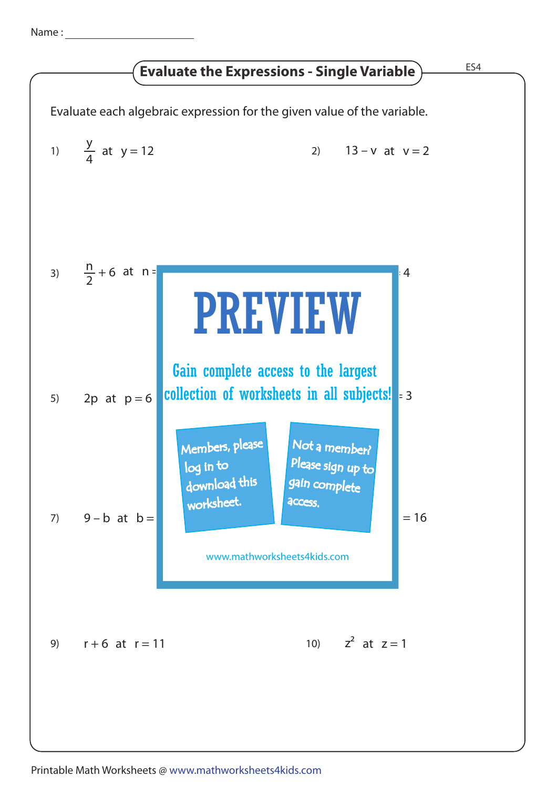